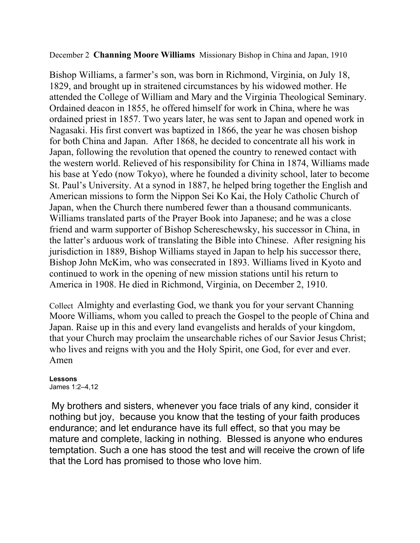## December 2 **Channing Moore Williams** Missionary Bishop in China and Japan, 1910

Bishop Williams, a farmer's son, was born in Richmond, Virginia, on July 18, 1829, and brought up in straitened circumstances by his widowed mother. He attended the College of William and Mary and the Virginia Theological Seminary. Ordained deacon in 1855, he offered himself for work in China, where he was ordained priest in 1857. Two years later, he was sent to Japan and opened work in Nagasaki. His first convert was baptized in 1866, the year he was chosen bishop for both China and Japan. After 1868, he decided to concentrate all his work in Japan, following the revolution that opened the country to renewed contact with the western world. Relieved of his responsibility for China in 1874, Williams made his base at Yedo (now Tokyo), where he founded a divinity school, later to become St. Paul's University. At a synod in 1887, he helped bring together the English and American missions to form the Nippon Sei Ko Kai, the Holy Catholic Church of Japan, when the Church there numbered fewer than a thousand communicants. Williams translated parts of the Prayer Book into Japanese; and he was a close friend and warm supporter of Bishop Schereschewsky, his successor in China, in the latter's arduous work of translating the Bible into Chinese. After resigning his jurisdiction in 1889, Bishop Williams stayed in Japan to help his successor there, Bishop John McKim, who was consecrated in 1893. Williams lived in Kyoto and continued to work in the opening of new mission stations until his return to America in 1908. He died in Richmond, Virginia, on December 2, 1910.

Collect Almighty and everlasting God, we thank you for your servant Channing Moore Williams, whom you called to preach the Gospel to the people of China and Japan. Raise up in this and every land evangelists and heralds of your kingdom, that your Church may proclaim the unsearchable riches of our Savior Jesus Christ; who lives and reigns with you and the Holy Spirit, one God, for ever and ever. Amen

## **Lessons**

James 1:2–4,12

My brothers and sisters, whenever you face trials of any kind, consider it nothing but joy, because you know that the testing of your faith produces endurance; and let endurance have its full effect, so that you may be mature and complete, lacking in nothing.Blessed is anyone who endures temptation. Such a one has stood the test and will receive the crown of life that the Lord has promised to those who love him.